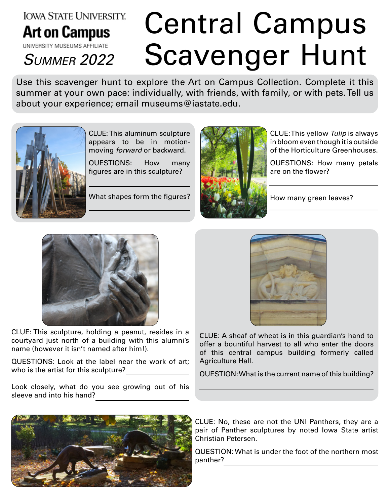## **IOWA STATE UNIVERSITY. Art on Campus**

## Central Campus SUMMER 2022 Scavenger Hunt

Use this scavenger hunt to explore the Art on Campus Collection. Complete it this summer at your own pace: individually, with friends, with family, or with pets. Tell us about your experience; email museums@iastate.edu.



CLUE: This aluminum sculpture appears to be in motionmoving *forward* or backward.

QUESTIONS: How many figures are in this sculpture?

What shapes form the figures?



CLUE: This yellow *Tulip* is always in bloom even though it is outside of the Horticulture Greenhouses.

QUESTIONS: How many petals are on the flower?

How many green leaves?



CLUE: This sculpture, holding a peanut, resides in a courtyard just north of a building with this alumni's name (however it isn't named after him!).

QUESTIONS: Look at the label near the work of art; who is the artist for this sculpture?

Look closely, what do you see growing out of his sleeve and into his hand?



CLUE: A sheaf of wheat is in this guardian's hand to offer a bountiful harvest to all who enter the doors of this central campus building formerly called Agriculture Hall.

QUESTION: What is the current name of this building?



CLUE: No, these are not the UNI Panthers, they are a pair of Panther sculptures by noted Iowa State artist Christian Petersen.

QUESTION: What is under the foot of the northern most panther?